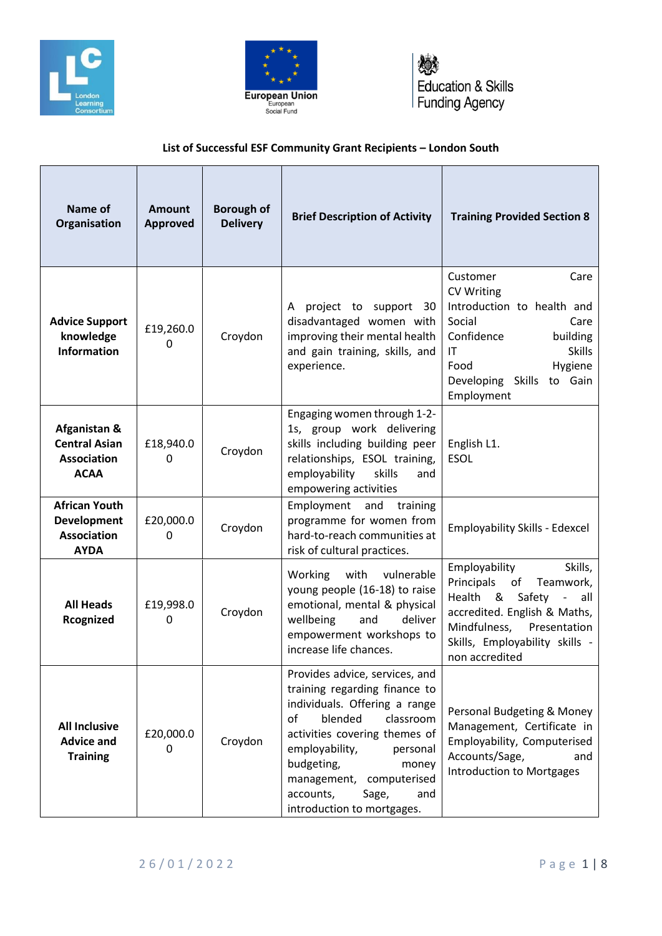





## **List of Successful ESF Community Grant Recipients – London South**

| Name of<br>Organisation                                                         | Amount<br><b>Approved</b> | <b>Borough of</b><br><b>Delivery</b> | <b>Brief Description of Activity</b>                                                                                                                                                                                                                                                                           | <b>Training Provided Section 8</b>                                                                                                                                                                           |
|---------------------------------------------------------------------------------|---------------------------|--------------------------------------|----------------------------------------------------------------------------------------------------------------------------------------------------------------------------------------------------------------------------------------------------------------------------------------------------------------|--------------------------------------------------------------------------------------------------------------------------------------------------------------------------------------------------------------|
| <b>Advice Support</b><br>knowledge<br><b>Information</b>                        | £19,260.0<br>0            | Croydon                              | project to support 30<br>A<br>disadvantaged women with<br>improving their mental health<br>and gain training, skills, and<br>experience.                                                                                                                                                                       | Care<br>Customer<br><b>CV Writing</b><br>Introduction to health and<br>Social<br>Care<br>Confidence<br>building<br><b>Skills</b><br>ΙT<br>Food<br>Hygiene<br>Developing Skills<br>to Gain<br>Employment      |
| Afganistan &<br><b>Central Asian</b><br><b>Association</b><br><b>ACAA</b>       | £18,940.0<br>0            | Croydon                              | Engaging women through 1-2-<br>1s, group work delivering<br>skills including building peer<br>relationships, ESOL training,<br>employability<br>skills<br>and<br>empowering activities                                                                                                                         | English L1.<br><b>ESOL</b>                                                                                                                                                                                   |
| <b>African Youth</b><br><b>Development</b><br><b>Association</b><br><b>AYDA</b> | £20,000.0<br>0            | Croydon                              | Employment and<br>training<br>programme for women from<br>hard-to-reach communities at<br>risk of cultural practices.                                                                                                                                                                                          | <b>Employability Skills - Edexcel</b>                                                                                                                                                                        |
| <b>All Heads</b><br>Rcognized                                                   | £19,998.0<br>0            | Croydon                              | Working with vulnerable<br>young people (16-18) to raise<br>emotional, mental & physical<br>wellbeing<br>and<br>deliver<br>empowerment workshops to<br>increase life chances.                                                                                                                                  | Employability<br>Skills,<br>Principals<br>of<br>Teamwork,<br>Health &<br>Safety -<br>all<br>accredited. English & Maths,<br>Mindfulness,<br>Presentation<br>Skills, Employability skills -<br>non accredited |
| <b>All Inclusive</b><br><b>Advice and</b><br><b>Training</b>                    | £20,000.0<br>0            | Croydon                              | Provides advice, services, and<br>training regarding finance to<br>individuals. Offering a range<br>blended<br>of<br>classroom<br>activities covering themes of<br>employability,<br>personal<br>budgeting,<br>money<br>management,<br>computerised<br>accounts,<br>Sage,<br>and<br>introduction to mortgages. | Personal Budgeting & Money<br>Management, Certificate in<br>Employability, Computerised<br>Accounts/Sage,<br>and<br><b>Introduction to Mortgages</b>                                                         |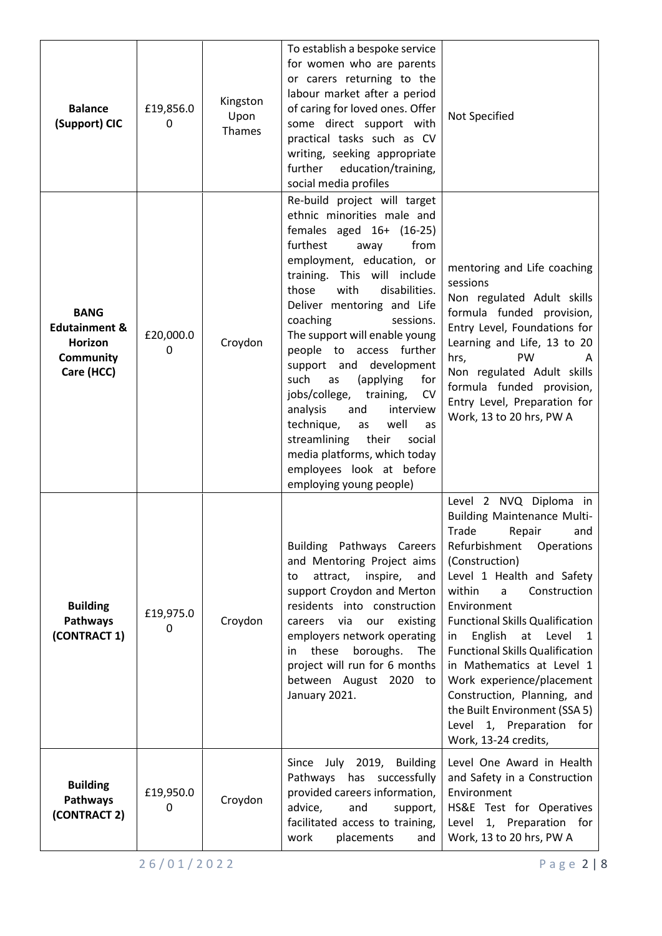| <b>Balance</b><br>(Support) CIC                                                      | £19,856.0<br>0 | Kingston<br>Upon<br>Thames | To establish a bespoke service<br>for women who are parents<br>or carers returning to the<br>labour market after a period<br>of caring for loved ones. Offer<br>some direct support with<br>practical tasks such as CV<br>writing, seeking appropriate<br>further<br>education/training,<br>social media profiles                                                                                                                                                                                                                                                                                                                          | Not Specified                                                                                                                                                                                                                                                                                                                                                                                                                                                                                                          |
|--------------------------------------------------------------------------------------|----------------|----------------------------|--------------------------------------------------------------------------------------------------------------------------------------------------------------------------------------------------------------------------------------------------------------------------------------------------------------------------------------------------------------------------------------------------------------------------------------------------------------------------------------------------------------------------------------------------------------------------------------------------------------------------------------------|------------------------------------------------------------------------------------------------------------------------------------------------------------------------------------------------------------------------------------------------------------------------------------------------------------------------------------------------------------------------------------------------------------------------------------------------------------------------------------------------------------------------|
| <b>BANG</b><br><b>Edutainment &amp;</b><br>Horizon<br><b>Community</b><br>Care (HCC) | £20,000.0<br>0 | Croydon                    | Re-build project will target<br>ethnic minorities male and<br>females aged $16+ (16-25)$<br>furthest<br>from<br>away<br>employment, education, or<br>training. This will include<br>with<br>those<br>disabilities.<br>Deliver mentoring and Life<br>coaching<br>sessions.<br>The support will enable young<br>people to access further<br>support and development<br>such<br>(applying<br>as<br>for<br>jobs/college,<br>training,<br><b>CV</b><br>analysis<br>and<br>interview<br>technique,<br>well<br>as<br>as<br>streamlining<br>their<br>social<br>media platforms, which today<br>employees look at before<br>employing young people) | mentoring and Life coaching<br>sessions<br>Non regulated Adult skills<br>formula funded provision,<br>Entry Level, Foundations for<br>Learning and Life, 13 to 20<br>PW<br>hrs,<br>A<br>Non regulated Adult skills<br>formula funded provision,<br>Entry Level, Preparation for<br>Work, 13 to 20 hrs, PW A                                                                                                                                                                                                            |
| <b>Building</b><br>Pathways<br>(CONTRACT 1)                                          | £19,975.0<br>0 | Croydon                    | Building Pathways Careers<br>and Mentoring Project aims<br>attract,<br>inspire,<br>and<br>to<br>support Croydon and Merton<br>residents into construction<br>via<br>existing<br>our<br>careers<br>employers network operating<br>in these<br>boroughs.<br>The<br>project will run for 6 months<br>between August 2020 to<br>January 2021.                                                                                                                                                                                                                                                                                                  | Level 2 NVQ Diploma in<br><b>Building Maintenance Multi-</b><br>Trade<br>Repair<br>and<br>Refurbishment<br>Operations<br>(Construction)<br>Level 1 Health and Safety<br>within<br>a<br>Construction<br>Environment<br><b>Functional Skills Qualification</b><br>English<br>at<br>Level 1<br>in<br><b>Functional Skills Qualification</b><br>in Mathematics at Level 1<br>Work experience/placement<br>Construction, Planning, and<br>the Built Environment (SSA 5)<br>Level 1, Preparation for<br>Work, 13-24 credits, |
| <b>Building</b><br>Pathways<br>(CONTRACT 2)                                          | £19,950.0<br>0 | Croydon                    | Since July 2019, Building<br>Pathways has successfully<br>provided careers information,<br>advice,<br>and<br>support,<br>facilitated access to training,<br>work<br>placements<br>and                                                                                                                                                                                                                                                                                                                                                                                                                                                      | Level One Award in Health<br>and Safety in a Construction<br>Environment<br>HS&E Test for Operatives<br>1, Preparation for<br>Level<br>Work, 13 to 20 hrs, PW A                                                                                                                                                                                                                                                                                                                                                        |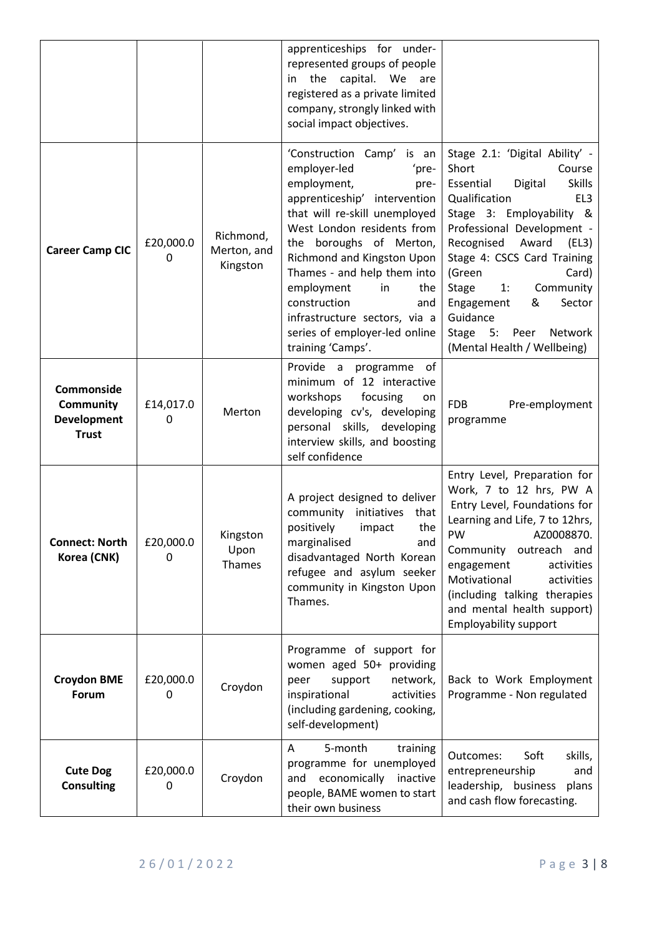|                                                                      |                |                                      | apprenticeships for under-<br>represented groups of people<br>the capital. We<br>in<br>are<br>registered as a private limited<br>company, strongly linked with<br>social impact objectives.                                                                                                                                                                                                               |                                                                                                                                                                                                                                                                                                                                                                                                                      |
|----------------------------------------------------------------------|----------------|--------------------------------------|-----------------------------------------------------------------------------------------------------------------------------------------------------------------------------------------------------------------------------------------------------------------------------------------------------------------------------------------------------------------------------------------------------------|----------------------------------------------------------------------------------------------------------------------------------------------------------------------------------------------------------------------------------------------------------------------------------------------------------------------------------------------------------------------------------------------------------------------|
| <b>Career Camp CIC</b>                                               | £20,000.0<br>0 | Richmond,<br>Merton, and<br>Kingston | 'Construction Camp' is an<br>employer-led<br>'pre-<br>employment,<br>pre-<br>apprenticeship' intervention<br>that will re-skill unemployed<br>West London residents from<br>the boroughs of Merton,<br>Richmond and Kingston Upon<br>Thames - and help them into<br>employment<br>the<br>in<br>construction<br>and<br>infrastructure sectors, via a<br>series of employer-led online<br>training 'Camps'. | Stage 2.1: 'Digital Ability' -<br>Short<br>Course<br><b>Skills</b><br>Essential<br>Digital<br>Qualification<br>EL <sub>3</sub><br>Stage 3: Employability &<br>Professional Development -<br>Recognised<br>Award<br>(EL3)<br>Stage 4: CSCS Card Training<br>(Green<br>Card)<br><b>Stage</b><br>Community<br>1:<br>&<br>Sector<br>Engagement<br>Guidance<br>Stage 5:<br>Peer<br>Network<br>(Mental Health / Wellbeing) |
| Commonside<br><b>Community</b><br><b>Development</b><br><b>Trust</b> | £14,017.0<br>0 | Merton                               | Provide a programme of<br>minimum of 12 interactive<br>workshops<br>focusing<br>on<br>developing cv's, developing<br>personal skills,<br>developing<br>interview skills, and boosting<br>self confidence                                                                                                                                                                                                  | <b>FDB</b><br>Pre-employment<br>programme                                                                                                                                                                                                                                                                                                                                                                            |
| <b>Connect: North</b><br>Korea (CNK)                                 | £20,000.0<br>0 | Kingston<br>Upon<br>Thames           | A project designed to deliver<br>community initiatives that<br>positively<br>the<br>impact<br>marginalised<br>and<br>disadvantaged North Korean<br>refugee and asylum seeker<br>community in Kingston Upon<br>Thames.                                                                                                                                                                                     | Entry Level, Preparation for<br>Work, 7 to 12 hrs, PW A<br>Entry Level, Foundations for<br>Learning and Life, 7 to 12hrs,<br>PW<br>AZ0008870.<br>Community outreach and<br>engagement<br>activities<br>Motivational<br>activities<br>(including talking therapies<br>and mental health support)<br><b>Employability support</b>                                                                                      |
| <b>Croydon BME</b><br>Forum                                          | £20,000.0<br>0 | Croydon                              | Programme of support for<br>women aged 50+ providing<br>support<br>network,<br>peer<br>inspirational<br>activities<br>(including gardening, cooking,<br>self-development)                                                                                                                                                                                                                                 | Back to Work Employment<br>Programme - Non regulated                                                                                                                                                                                                                                                                                                                                                                 |
| <b>Cute Dog</b><br><b>Consulting</b>                                 | £20,000.0<br>0 | Croydon                              | 5-month<br>training<br>A<br>programme for unemployed<br>economically<br>inactive<br>and<br>people, BAME women to start<br>their own business                                                                                                                                                                                                                                                              | Outcomes:<br>Soft<br>skills,<br>entrepreneurship<br>and<br>leadership, business<br>plans<br>and cash flow forecasting.                                                                                                                                                                                                                                                                                               |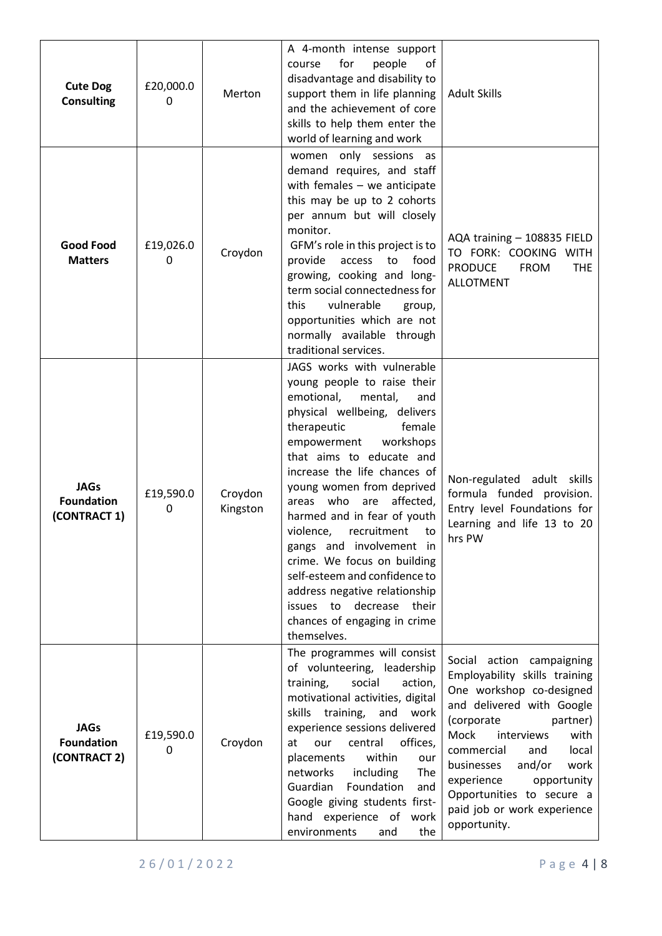| <b>Cute Dog</b><br><b>Consulting</b>             | £20,000.0<br>$\mathbf{0}$ | Merton              | A 4-month intense support<br>for<br>people<br>οf<br>course<br>disadvantage and disability to<br>support them in life planning<br>and the achievement of core<br>skills to help them enter the<br>world of learning and work                                                                                                                                                                                                                                                                                                                                                             | <b>Adult Skills</b>                                                                                                                                                                                                                                                                                                                                |
|--------------------------------------------------|---------------------------|---------------------|-----------------------------------------------------------------------------------------------------------------------------------------------------------------------------------------------------------------------------------------------------------------------------------------------------------------------------------------------------------------------------------------------------------------------------------------------------------------------------------------------------------------------------------------------------------------------------------------|----------------------------------------------------------------------------------------------------------------------------------------------------------------------------------------------------------------------------------------------------------------------------------------------------------------------------------------------------|
| <b>Good Food</b><br><b>Matters</b>               | £19,026.0<br>0            | Croydon             | women only sessions as<br>demand requires, and staff<br>with females $-$ we anticipate<br>this may be up to 2 cohorts<br>per annum but will closely<br>monitor.<br>GFM's role in this project is to<br>provide<br>to<br>food<br>access<br>growing, cooking and long-<br>term social connectedness for<br>vulnerable<br>this<br>group,<br>opportunities which are not<br>normally available through<br>traditional services.                                                                                                                                                             | AQA training - 108835 FIELD<br>TO FORK: COOKING<br><b>WITH</b><br><b>PRODUCE</b><br><b>FROM</b><br><b>THE</b><br><b>ALLOTMENT</b>                                                                                                                                                                                                                  |
| <b>JAGs</b><br><b>Foundation</b><br>(CONTRACT 1) | £19,590.0<br>0            | Croydon<br>Kingston | JAGS works with vulnerable<br>young people to raise their<br>emotional,<br>mental,<br>and<br>physical wellbeing, delivers<br>female<br>therapeutic<br>empowerment<br>workshops<br>that aims to educate and<br>increase the life chances of<br>young women from deprived<br>areas who<br>affected,<br>are<br>harmed and in fear of youth<br>violence,<br>recruitment<br>to<br>gangs and involvement in<br>crime. We focus on building<br>self-esteem and confidence to<br>address negative relationship<br>decrease<br>issues to<br>their<br>chances of engaging in crime<br>themselves. | Non-regulated adult<br>skills<br>formula funded provision.<br>Entry level Foundations for<br>Learning and life 13 to 20<br>hrs PW                                                                                                                                                                                                                  |
| <b>JAGs</b><br><b>Foundation</b><br>(CONTRACT 2) | £19,590.0<br>0            | Croydon             | The programmes will consist<br>of volunteering, leadership<br>social<br>training,<br>action,<br>motivational activities, digital<br>skills training,<br>and<br>work<br>experience sessions delivered<br>offices,<br>at<br>central<br>our<br>within<br>placements<br>our<br>including<br>The<br>networks<br>Guardian<br>Foundation<br>and<br>Google giving students first-<br>hand experience of work<br>environments<br>the<br>and                                                                                                                                                      | Social action campaigning<br>Employability skills training<br>One workshop co-designed<br>and delivered with Google<br>(corporate<br>partner)<br>Mock<br>interviews<br>with<br>commercial<br>and<br>local<br>and/or<br>businesses<br>work<br>experience<br>opportunity<br>Opportunities to secure a<br>paid job or work experience<br>opportunity. |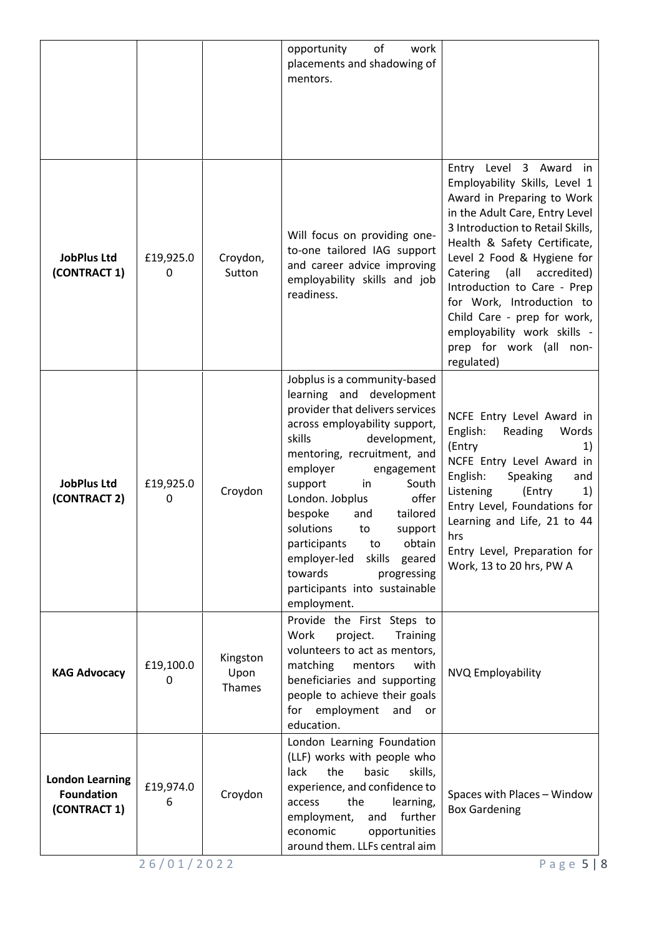|                                                             |                           |                            | of<br>opportunity<br>work<br>placements and shadowing of<br>mentors.                                                                                                                                                                                                                                                                                                                                                                                                            |                                                                                                                                                                                                                                                                                                                                                                                                                                    |
|-------------------------------------------------------------|---------------------------|----------------------------|---------------------------------------------------------------------------------------------------------------------------------------------------------------------------------------------------------------------------------------------------------------------------------------------------------------------------------------------------------------------------------------------------------------------------------------------------------------------------------|------------------------------------------------------------------------------------------------------------------------------------------------------------------------------------------------------------------------------------------------------------------------------------------------------------------------------------------------------------------------------------------------------------------------------------|
| <b>JobPlus Ltd</b><br>(CONTRACT 1)                          | £19,925.0<br>$\mathbf{0}$ | Croydon,<br>Sutton         | Will focus on providing one-<br>to-one tailored IAG support<br>and career advice improving<br>employability skills and job<br>readiness.                                                                                                                                                                                                                                                                                                                                        | Entry Level 3 Award<br>in<br>Employability Skills, Level 1<br>Award in Preparing to Work<br>in the Adult Care, Entry Level<br>3 Introduction to Retail Skills,<br>Health & Safety Certificate,<br>Level 2 Food & Hygiene for<br>(all accredited)<br>Catering<br>Introduction to Care - Prep<br>for Work, Introduction to<br>Child Care - prep for work,<br>employability work skills -<br>prep for work (all<br>non-<br>regulated) |
| <b>JobPlus Ltd</b><br>(CONTRACT 2)                          | £19,925.0<br>$\mathbf{0}$ | Croydon                    | Jobplus is a community-based<br>learning and development<br>provider that delivers services<br>across employability support,<br>skills<br>development,<br>mentoring, recruitment, and<br>employer<br>engagement<br>support<br>South<br>in<br>offer<br>London. Jobplus<br>bespoke<br>tailored<br>and<br>solutions<br>to<br>support<br>participants<br>obtain<br>to<br>employer-led<br>skills<br>geared<br>towards<br>progressing<br>participants into sustainable<br>employment. | NCFE Entry Level Award in<br>English:<br>Reading<br>Words<br>(Entry<br>1)<br>NCFE Entry Level Award in<br>English:<br>Speaking<br>and<br>Listening<br>(Entry<br>1)<br>Entry Level, Foundations for<br>Learning and Life, 21 to 44<br>hrs<br>Entry Level, Preparation for<br>Work, 13 to 20 hrs, PW A                                                                                                                               |
| <b>KAG Advocacy</b>                                         | £19,100.0<br>0            | Kingston<br>Upon<br>Thames | Provide the First Steps to<br>Work<br>project.<br><b>Training</b><br>volunteers to act as mentors,<br>matching<br>mentors<br>with<br>beneficiaries and supporting<br>people to achieve their goals<br>for employment<br>and<br>or<br>education.                                                                                                                                                                                                                                 | NVQ Employability                                                                                                                                                                                                                                                                                                                                                                                                                  |
| <b>London Learning</b><br><b>Foundation</b><br>(CONTRACT 1) | £19,974.0<br>6            | Croydon                    | London Learning Foundation<br>(LLF) works with people who<br>lack<br>the<br>basic<br>skills,<br>experience, and confidence to<br>the<br>learning,<br>access<br>further<br>employment,<br>and<br>economic<br>opportunities<br>around them. LLFs central aim                                                                                                                                                                                                                      | Spaces with Places - Window<br><b>Box Gardening</b>                                                                                                                                                                                                                                                                                                                                                                                |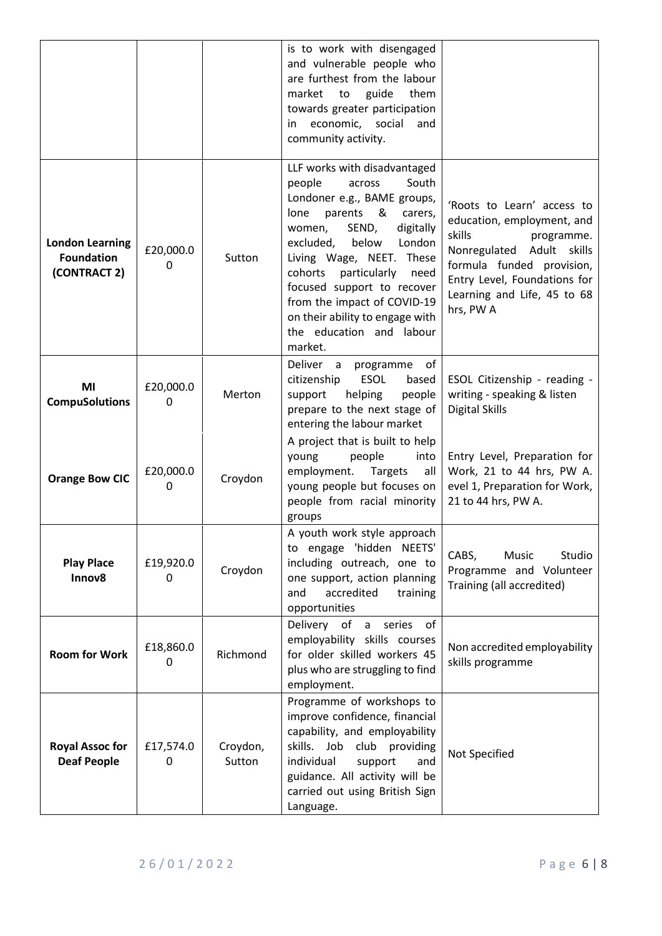|                                                             |                |                    | is to work with disengaged<br>and vulnerable people who<br>are furthest from the labour<br>market<br>guide<br>them<br>to<br>towards greater participation<br>economic, social<br>in<br>and<br>community activity.                                                                                                                                                                                  |                                                                                                                                                                                                                           |
|-------------------------------------------------------------|----------------|--------------------|----------------------------------------------------------------------------------------------------------------------------------------------------------------------------------------------------------------------------------------------------------------------------------------------------------------------------------------------------------------------------------------------------|---------------------------------------------------------------------------------------------------------------------------------------------------------------------------------------------------------------------------|
| <b>London Learning</b><br><b>Foundation</b><br>(CONTRACT 2) | £20,000.0<br>0 | Sutton             | LLF works with disadvantaged<br>South<br>people<br>across<br>Londoner e.g., BAME groups,<br>parents<br>8.<br>lone<br>carers,<br>SEND,<br>women,<br>digitally<br>excluded,<br>below<br>London<br>Living Wage, NEET. These<br>cohorts<br>particularly<br>need<br>focused support to recover<br>from the impact of COVID-19<br>on their ability to engage with<br>the education and labour<br>market. | 'Roots to Learn' access to<br>education, employment, and<br>skills<br>programme.<br>Nonregulated Adult<br>skills<br>formula funded provision,<br>Entry Level, Foundations for<br>Learning and Life, 45 to 68<br>hrs, PW A |
| MI<br><b>CompuSolutions</b>                                 | £20,000.0<br>0 | Merton             | Deliver a programme<br>of<br><b>ESOL</b><br>citizenship<br>based<br>helping<br>people<br>support<br>prepare to the next stage of<br>entering the labour market                                                                                                                                                                                                                                     | ESOL Citizenship - reading -<br>writing - speaking & listen<br><b>Digital Skills</b>                                                                                                                                      |
| <b>Orange Bow CIC</b>                                       | £20,000.0<br>0 | Croydon            | A project that is built to help<br>young<br>people<br>into<br>employment.<br>Targets<br>all<br>young people but focuses on<br>people from racial minority<br>groups                                                                                                                                                                                                                                | Entry Level, Preparation for<br>Work, 21 to 44 hrs, PW A.<br>evel 1, Preparation for Work,<br>21 to 44 hrs, PW A.                                                                                                         |
| <b>Play Place</b><br>Innov8                                 | £19,920.0<br>0 | Croydon            | A youth work style approach<br>to engage 'hidden NEETS'<br>including outreach, one to<br>one support, action planning<br>accredited<br>and<br>training<br>opportunities                                                                                                                                                                                                                            | CABS,<br>Music<br>Studio<br>Programme and Volunteer<br>Training (all accredited)                                                                                                                                          |
| <b>Room for Work</b>                                        | £18,860.0<br>0 | Richmond           | Delivery of a series<br>of<br>employability skills courses<br>for older skilled workers 45<br>plus who are struggling to find<br>employment.                                                                                                                                                                                                                                                       | Non accredited employability<br>skills programme                                                                                                                                                                          |
| <b>Royal Assoc for</b><br><b>Deaf People</b>                | £17,574.0<br>0 | Croydon,<br>Sutton | Programme of workshops to<br>improve confidence, financial<br>capability, and employability<br>skills. Job club providing<br>individual<br>support<br>and<br>guidance. All activity will be<br>carried out using British Sign<br>Language.                                                                                                                                                         | Not Specified                                                                                                                                                                                                             |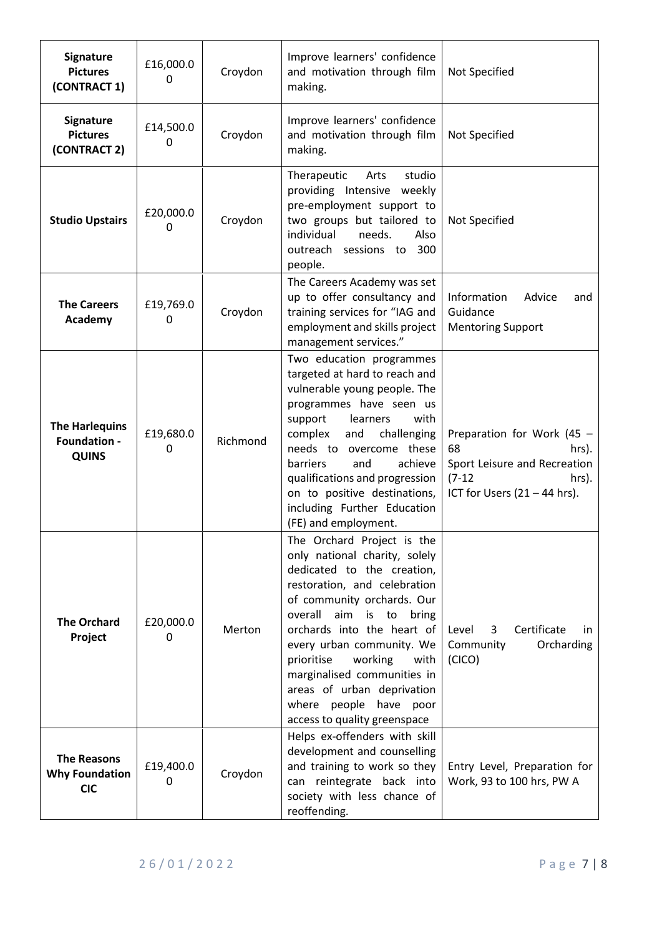| Signature<br><b>Pictures</b><br>(CONTRACT 1)                 | £16,000.0<br>0 | Croydon  | Improve learners' confidence<br>and motivation through film<br>making.                                                                                                                                                                                                                                                                                                                                   | Not Specified                                                                                                                    |
|--------------------------------------------------------------|----------------|----------|----------------------------------------------------------------------------------------------------------------------------------------------------------------------------------------------------------------------------------------------------------------------------------------------------------------------------------------------------------------------------------------------------------|----------------------------------------------------------------------------------------------------------------------------------|
| Signature<br><b>Pictures</b><br>(CONTRACT 2)                 | £14,500.0<br>0 | Croydon  | Improve learners' confidence<br>and motivation through film<br>making.                                                                                                                                                                                                                                                                                                                                   | Not Specified                                                                                                                    |
| <b>Studio Upstairs</b>                                       | £20,000.0<br>0 | Croydon  | Therapeutic<br>studio<br>Arts<br>providing Intensive weekly<br>pre-employment support to<br>two groups but tailored to<br>individual<br>needs.<br>Also<br>outreach sessions to 300<br>people.                                                                                                                                                                                                            | Not Specified                                                                                                                    |
| <b>The Careers</b><br>Academy                                | £19,769.0<br>0 | Croydon  | The Careers Academy was set<br>up to offer consultancy and<br>training services for "IAG and<br>employment and skills project<br>management services."                                                                                                                                                                                                                                                   | Information<br>Advice<br>and<br>Guidance<br><b>Mentoring Support</b>                                                             |
| <b>The Harlequins</b><br><b>Foundation -</b><br><b>QUINS</b> | £19,680.0<br>0 | Richmond | Two education programmes<br>targeted at hard to reach and<br>vulnerable young people. The<br>programmes have seen us<br>with<br>support<br>learners<br>complex<br>and<br>challenging<br>needs to overcome these<br>and<br>achieve<br>barriers<br>qualifications and progression<br>on to positive destinations,<br>including Further Education<br>(FE) and employment.                                   | Preparation for Work (45 -<br>68<br>hrs).<br>Sport Leisure and Recreation<br>$(7-12)$<br>hrs).<br>ICT for Users $(21 – 44$ hrs). |
| <b>The Orchard</b><br>Project                                | £20,000.0<br>0 | Merton   | The Orchard Project is the<br>only national charity, solely<br>dedicated to the creation,<br>restoration, and celebration<br>of community orchards. Our<br>overall aim is to<br>bring<br>orchards into the heart of<br>every urban community. We<br>working<br>prioritise<br>with<br>marginalised communities in<br>areas of urban deprivation<br>where people have poor<br>access to quality greenspace | Certificate<br>Level<br>3<br>in.<br>Community<br>Orcharding<br>(CICO)                                                            |
| <b>The Reasons</b><br><b>Why Foundation</b><br><b>CIC</b>    | £19,400.0<br>0 | Croydon  | Helps ex-offenders with skill<br>development and counselling<br>and training to work so they<br>can reintegrate back into<br>society with less chance of<br>reoffending.                                                                                                                                                                                                                                 | Entry Level, Preparation for<br>Work, 93 to 100 hrs, PW A                                                                        |